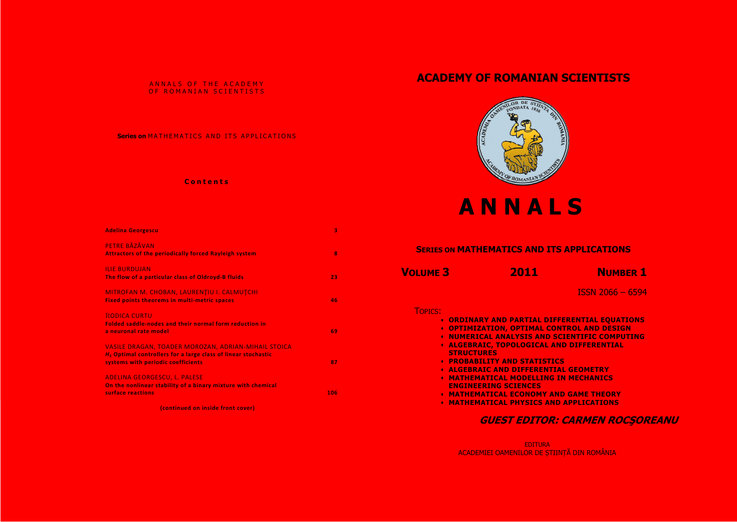### ANNALS OF THE ACADEMY OF ROMANIAN SCIENTISTS

### Series on MATHEMATICS AND ITS APPLICATIONS

## **Contents**

| <b>Adelina Georgescu</b>                                                                                                                                     | 3   |
|--------------------------------------------------------------------------------------------------------------------------------------------------------------|-----|
| PETRE BĂZĂVAN<br><b>Attractors of the periodically forced Rayleigh system</b>                                                                                | 8   |
| <b>ILIE BURDUJAN</b><br>The flow of a particular class of Oldroyd-B fluids                                                                                   | 23  |
| MITROFAN M. CHOBAN, LAURENȚIU I. CALMUȚCHI<br><b>Fixed points theorems in multi-metric spaces</b>                                                            | 46  |
| <b>RODICA CURTU</b><br>Folded saddle-nodes and their normal form reduction in<br>a neuronal rate model                                                       | 69  |
| VASILE DRAGAN, TOADER MOROZAN, ADRIAN-MIHAIL STOICA<br>$H2$ Optimal controllers for a large class of linear stochastic<br>systems with periodic coefficients | 87  |
| <b>ADELINA GEORGESCU, L. PALESE</b><br>On the nonlinear stability of a binary mixture with chemical<br>surface reactions                                     | 106 |

(continued on inside front cover)

# **ACADEMY OF ROMANIAN SCIENTISTS**



# ANNALS

| <b>SERIES ON MATHEMATICS AND ITS</b> |                                                                                                                                                                                                                                                                                                                                                                                         |  |  |
|--------------------------------------|-----------------------------------------------------------------------------------------------------------------------------------------------------------------------------------------------------------------------------------------------------------------------------------------------------------------------------------------------------------------------------------------|--|--|
| <b>VOLUME 3</b>                      | 2011                                                                                                                                                                                                                                                                                                                                                                                    |  |  |
| <b>TOPICS:</b>                       | <b>• ORDINARY AND PARTIAL DIFF</b><br><b>• OPTIMIZATION, OPTIMAL CON</b><br><b>NUMERICAL ANALYSIS AND SO</b><br><b>ALGEBRAIC, TOPOLOGICAL AN</b><br><b>STRUCTURES</b><br><b>PROBABILITY AND STATISTIC:</b><br><b>ALGEBRAIC AND DIFFERENTIA</b><br><b>MATHEMATICAL MODELLING I</b><br><b>ENGINEERING SCIENCES</b><br><b>MATHEMATICAL ECONOMY AN</b><br><b>• MATHEMATICAL PHYSICS AND</b> |  |  |
|                                      |                                                                                                                                                                                                                                                                                                                                                                                         |  |  |

EDITURA<br>ACADEMIEI OAMENILOR DE ȘTIINȚĂ DIN ROMÂNIA



# **APPLICATIONS**

**NUMBER 1** 

**ISSN 2066 - 6594** 

**FERENTIAL EQUATIONS ITROL AND DESIGN CIENTIFIC COMPUTING ID DIFFERENTIAL** 

**AL GEOMETRY N MECHANICS** 

**D GAME THEORY APPLICATIONS** 

**GUEST EDITOR: CARMEN ROCSOREANU**